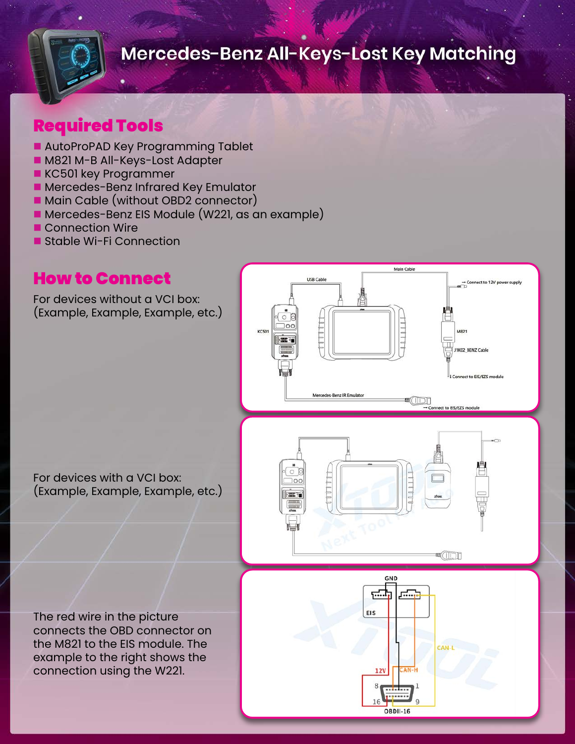

#### Required Tools

- AutoProPAD Key Programming Tablet
- **n** M821 M-B All-Keys-Lost Adapter
- **KC501 key Programmer**
- **n** Mercedes-Benz Infrared Key Emulator
- Main Cable (without OBD2 connector)
- Mercedes-Benz EIS Module (W221, as an example)
- **n** Connection Wire
- **n** Stable Wi-Fi Connection

#### How to Connect

For devices without a VCI box: (Example, Example, Example, etc.)



For devices with a VCI box: (Example, Example, Example, etc.)

The red wire in the picture connects the OBD connector on the M821 to the EIS module. The example to the right shows the connection using the W221.

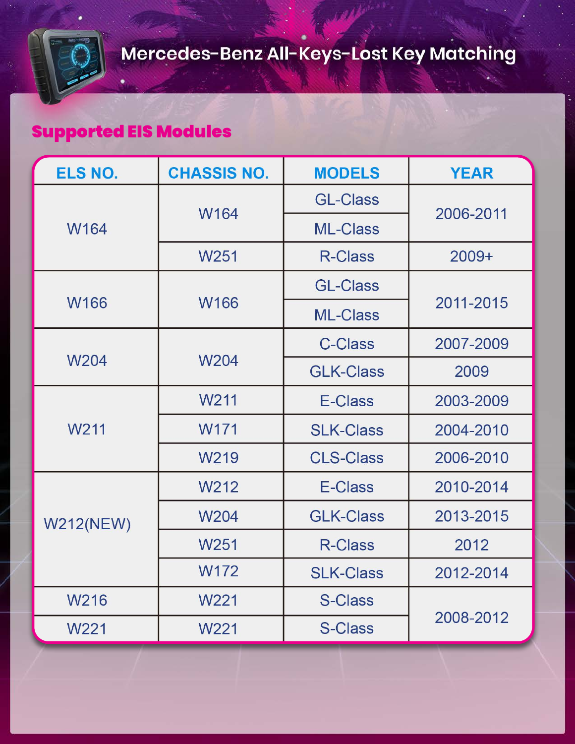## Supported EIS Modules

| ELS NO.          | <b>CHASSIS NO.</b> | <b>MODELS</b>    | <b>YEAR</b> |
|------------------|--------------------|------------------|-------------|
| W164             | W164               | <b>GL-Class</b>  | 2006-2011   |
|                  |                    | <b>ML-Class</b>  |             |
|                  | W <sub>251</sub>   | <b>R-Class</b>   | $2009+$     |
| <b>W166</b>      |                    | <b>GL-Class</b>  |             |
|                  | W166               | <b>ML-Class</b>  | 2011-2015   |
| W204             |                    | <b>C-Class</b>   | 2007-2009   |
|                  | W204               | <b>GLK-Class</b> | 2009        |
|                  | W <sub>211</sub>   | E-Class          | 2003-2009   |
| W211             | W171               | <b>SLK-Class</b> | 2004-2010   |
|                  | W <sub>219</sub>   | <b>CLS-Class</b> | 2006-2010   |
| <b>W212(NEW)</b> | W212               | E-Class          | 2010-2014   |
|                  | <b>W204</b>        | <b>GLK-Class</b> | 2013-2015   |
|                  | W <sub>251</sub>   | <b>R-Class</b>   | 2012        |
|                  | W172               | <b>SLK-Class</b> | 2012-2014   |
| W216             | W <sub>221</sub>   | <b>S-Class</b>   |             |
| W221             | W221               | <b>S-Class</b>   | 2008-2012   |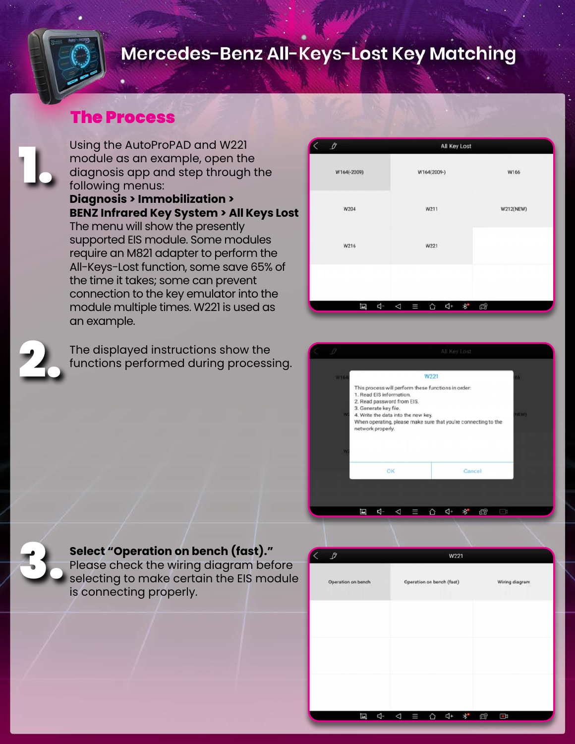#### The Process

Using the AutoProPAD and W221 module as an example, open the diagnosis app and step through the following menus: **Diagnosis > Immobilization > BENZ Infrared Key System > All Keys Lost** The menu will show the presently supported EIS module. Some modules require an M821 adapter to perform the All-Keys-Lost function, some save 65% of the time it takes; some can prevent connection to the key emulator into the module multiple times. W221 is used as an example.

The displayed instructions show the functions performed during processing.

| $\begin{array}{c} \mathcal{O} \end{array}$ | All Key Lost |           |
|--------------------------------------------|--------------|-----------|
| W164(-2009)                                | W164(2009-)  | W166      |
| W204                                       | W211         | W212(NEW) |
| W216                                       | W221         |           |
|                                            |              |           |
| Ø                                          |              |           |





2.

1.

**Select "Operation on bench (fast)."**

Please check the wiring diagram before selecting to make certain the EIS module is connecting properly.

| Z, | $\mathcal{P}$      |   |                      |                           | W221 |   |   |                |  |
|----|--------------------|---|----------------------|---------------------------|------|---|---|----------------|--|
|    | Operation on bench |   |                      | Operation on bench (fast) |      |   |   | Wiring diagram |  |
|    |                    |   |                      |                           |      |   |   |                |  |
|    |                    |   |                      |                           |      |   |   |                |  |
|    |                    |   |                      |                           |      |   |   |                |  |
|    |                    |   |                      |                           |      |   |   |                |  |
|    | 国                  | 4 | $\blacklozenge$<br>Ш | ♤                         | Ą+   | * | Q | G              |  |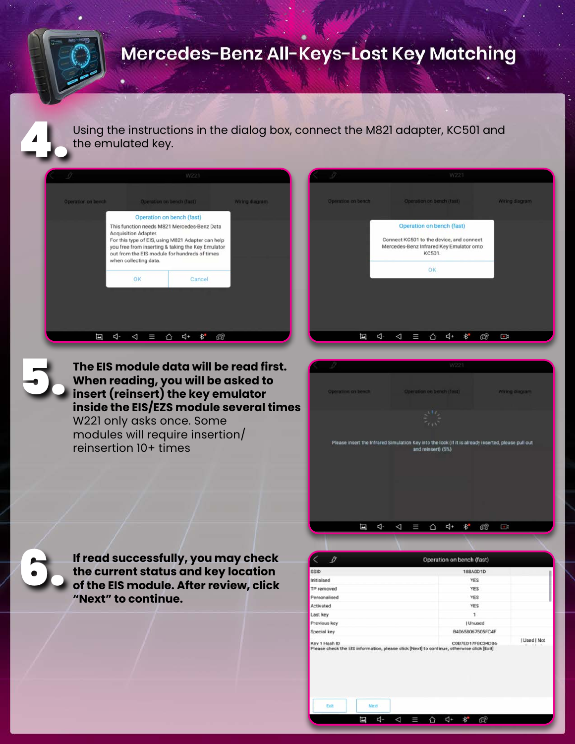Using the instructions in the dialog box, connect the M821 adapter, KC501 and the emulated key.

|                    |                                                                                                                                               | W221                                                                                                   |                |
|--------------------|-----------------------------------------------------------------------------------------------------------------------------------------------|--------------------------------------------------------------------------------------------------------|----------------|
| Operation on bench |                                                                                                                                               | Operation on bench (faat)                                                                              | Wiring diagram |
|                    | This function needs M821 Mercedes-Benz Data<br>Acquisition Adapter.<br>out from the EIS module for hundreds of times<br>when collecting data. | For this type of EIS, using M821 Adapter can help<br>you free from inserting & taking the Key Emulator |                |
|                    | OK                                                                                                                                            | Cancel                                                                                                 |                |

**The EIS module data will be read first. When reading, you will be asked to insert (reinsert) the key emulator inside the EIS/EZS module several times** W221 only asks once. Some modules will require insertion/ reinsertion 10+ times







5.

**If read successfully, you may check the current status and key location of the EIS module. After review, click "Next" to continue.**

| <b>SSID</b>   | <b>188A0D1D</b>                                                                                               |                          |
|---------------|---------------------------------------------------------------------------------------------------------------|--------------------------|
| Initialsed    | <b>YES</b>                                                                                                    |                          |
| TP removed    | <b>YES</b>                                                                                                    |                          |
| Personalised  | <b>YES</b>                                                                                                    |                          |
| Activated     | <b>YES</b>                                                                                                    |                          |
| Last key      | 1                                                                                                             |                          |
| Previous key  | I Unused                                                                                                      |                          |
| Special key   | B40658067505FC4F                                                                                              |                          |
| Key 1 Hash ID | C0B7ED17F8C34DB6<br>Please check the EIS information, please click [Next] to continue, otherwise click [Exit] | Used   Not<br>$-144 - 4$ |

 $\begin{array}{rcl} \triangleleft & \equiv & \triangle & \triangleleft \ast \end{array}$ 

 $\mathbb{R}^*$ 

드 다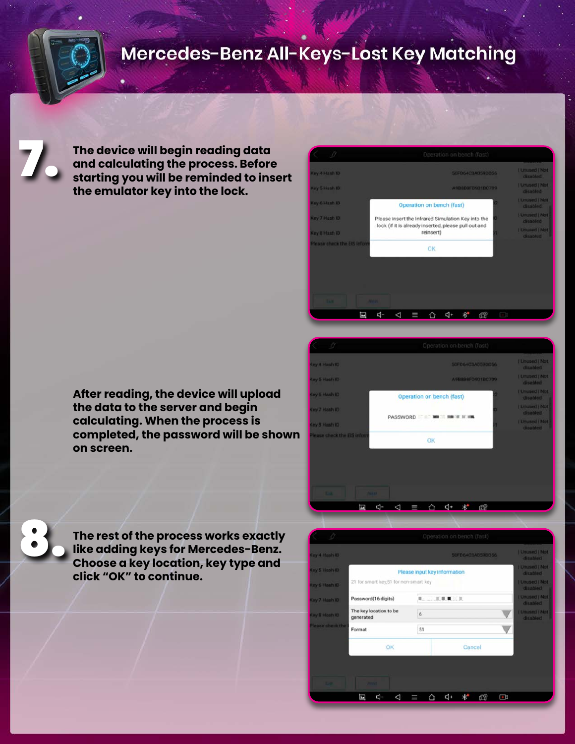7.

8.

**The device will begin reading data and calculating the process. Before starting you will be reminded to insert the emulator key into the lock.**

| $\beta$                     | Operation on bench (fast)                                         |   |                                   |  |  |
|-----------------------------|-------------------------------------------------------------------|---|-----------------------------------|--|--|
| Key 4 Hash ID               | 50FD64C3A059DD56                                                  |   | <b>LUnused   Not</b><br>diambled  |  |  |
| Key 5 Hash ID               | A9B888FD901BC709                                                  |   | Unused   Not<br>disabled          |  |  |
| Key 6 Hash ID               | Operation on bench (fast)                                         |   | <b>LUnused   Not</b><br>disabled. |  |  |
| Key 7 Hash ID.              | Please insert the Infrared Simulation Key into the                |   | <b>Lunused   Not</b><br>disabled  |  |  |
| <b>Key &amp; Hash ID</b>    | lock (if it is already inserted, please pull out and<br>reinsert) |   | Unused   Not<br>disabled          |  |  |
| Please check the EIS inform | <b>OK</b>                                                         |   |                                   |  |  |
|                             |                                                                   |   |                                   |  |  |
|                             |                                                                   |   |                                   |  |  |
| . .                         | <b>STERN</b>                                                      |   |                                   |  |  |
| Ø                           | d-<br>⊲<br>c۱۰                                                    | € |                                   |  |  |

**After reading, the device will upload the data to the server and begin calculating. When the process is completed, the password will be shown on screen.**



**The rest of the process works exactly like adding keys for Mercedes-Benz. Choose a key location, key type and click "OK" to continue.**